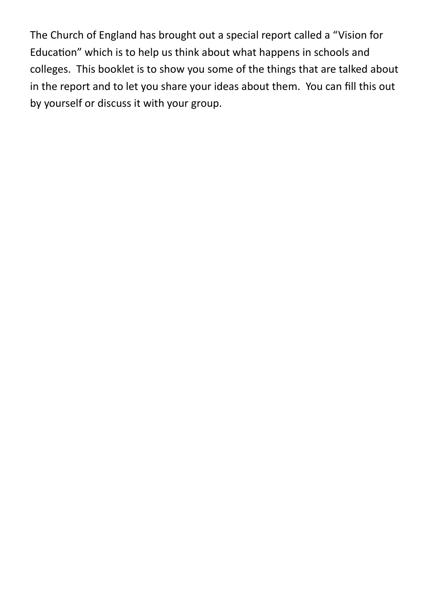The Church of England has brought out a special report called a "Vision for Education" which is to help us think about what happens in schools and colleges. This booklet is to show you some of the things that are talked about in the report and to let you share your ideas about them. You can fill this out by yourself or discuss it with your group.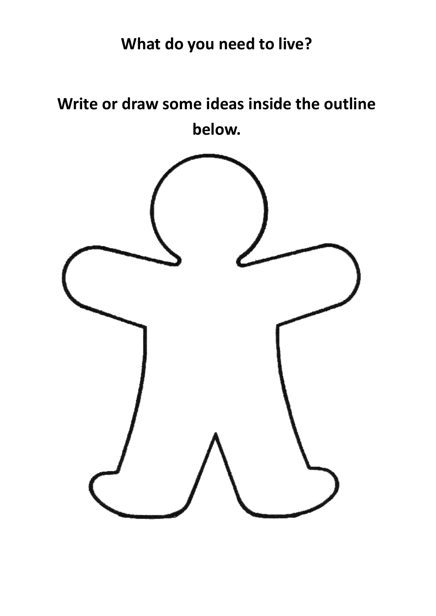## **What do you need to live?**

**Write or draw some ideas inside the outline below.**

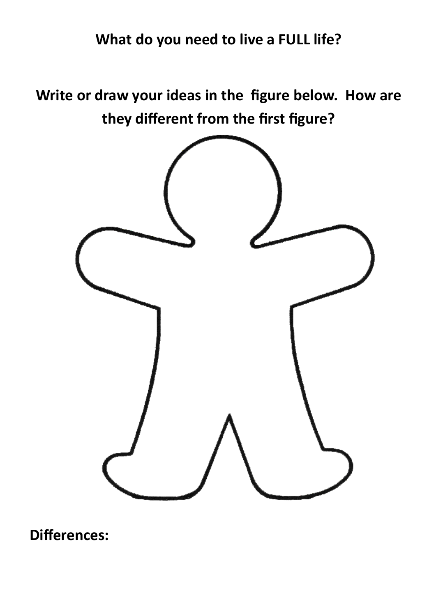## **What do you need to live a FULL life?**

**Write or draw your ideas in the figure below. How are they different from the first figure?**



**Differences:**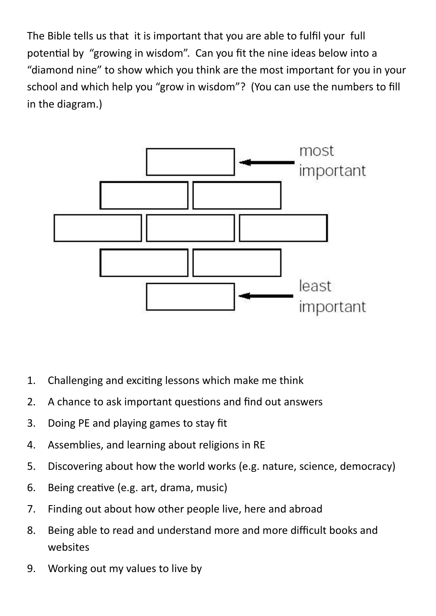The Bible tells us that it is important that you are able to fulfil your full potential by "growing in wisdom". Can you fit the nine ideas below into a "diamond nine" to show which you think are the most important for you in your school and which help you "grow in wisdom"? (You can use the numbers to fill in the diagram.)



- 1. Challenging and exciting lessons which make me think
- 2. A chance to ask important questions and find out answers
- 3. Doing PE and playing games to stay fit
- 4. Assemblies, and learning about religions in RE
- 5. Discovering about how the world works (e.g. nature, science, democracy)
- 6. Being creative (e.g. art, drama, music)
- 7. Finding out about how other people live, here and abroad
- 8. Being able to read and understand more and more difficult books and websites
- 9. Working out my values to live by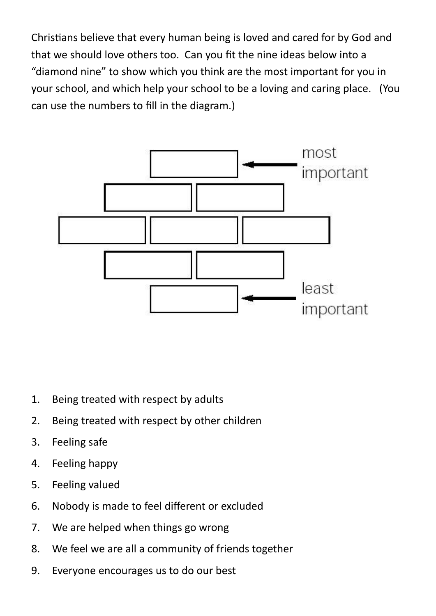Christians believe that every human being is loved and cared for by God and that we should love others too. Can you fit the nine ideas below into a "diamond nine" to show which you think are the most important for you in your school, and which help your school to be a loving and caring place. (You can use the numbers to fill in the diagram.)



- 1. Being treated with respect by adults
- 2. Being treated with respect by other children
- 3. Feeling safe
- 4. Feeling happy
- 5. Feeling valued
- 6. Nobody is made to feel different or excluded
- 7. We are helped when things go wrong
- 8. We feel we are all a community of friends together
- 9. Everyone encourages us to do our best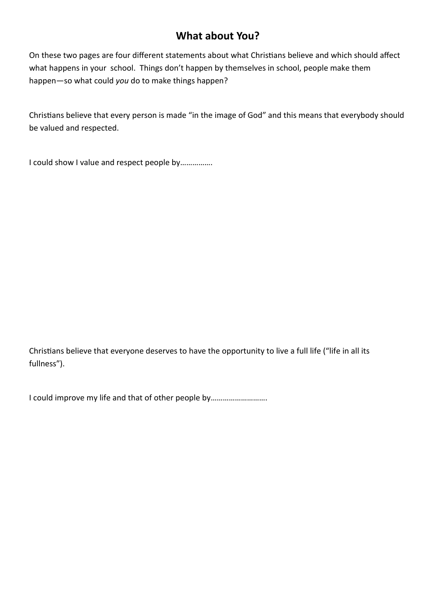## **What about You?**

On these two pages are four different statements about what Christians believe and which should affect what happens in your school. Things don't happen by themselves in school, people make them happen—so what could *you* do to make things happen?

Christians believe that every person is made "in the image of God" and this means that everybody should be valued and respected.

I could show I value and respect people by…………….

Christians believe that everyone deserves to have the opportunity to live a full life ("life in all its fullness").

I could improve my life and that of other people by……………………….